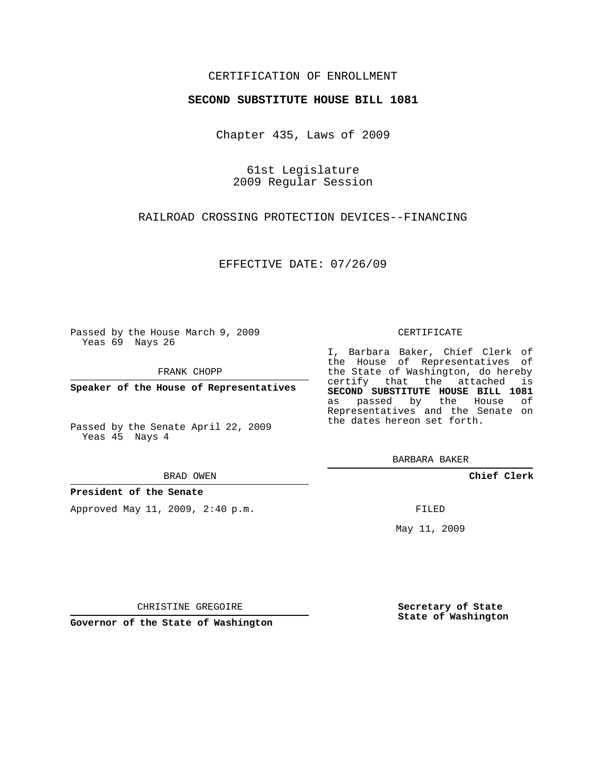## CERTIFICATION OF ENROLLMENT

### **SECOND SUBSTITUTE HOUSE BILL 1081**

Chapter 435, Laws of 2009

61st Legislature 2009 Regular Session

RAILROAD CROSSING PROTECTION DEVICES--FINANCING

EFFECTIVE DATE: 07/26/09

Passed by the House March 9, 2009 Yeas 69 Nays 26

FRANK CHOPP

**Speaker of the House of Representatives**

Passed by the Senate April 22, 2009 Yeas 45 Nays 4

#### BRAD OWEN

**President of the Senate**

Approved May 11, 2009, 2:40 p.m.

#### CERTIFICATE

I, Barbara Baker, Chief Clerk of the House of Representatives of the State of Washington, do hereby certify that the attached is **SECOND SUBSTITUTE HOUSE BILL 1081** as passed by the House of Representatives and the Senate on the dates hereon set forth.

BARBARA BAKER

**Chief Clerk**

FILED

May 11, 2009

**Secretary of State State of Washington**

CHRISTINE GREGOIRE

**Governor of the State of Washington**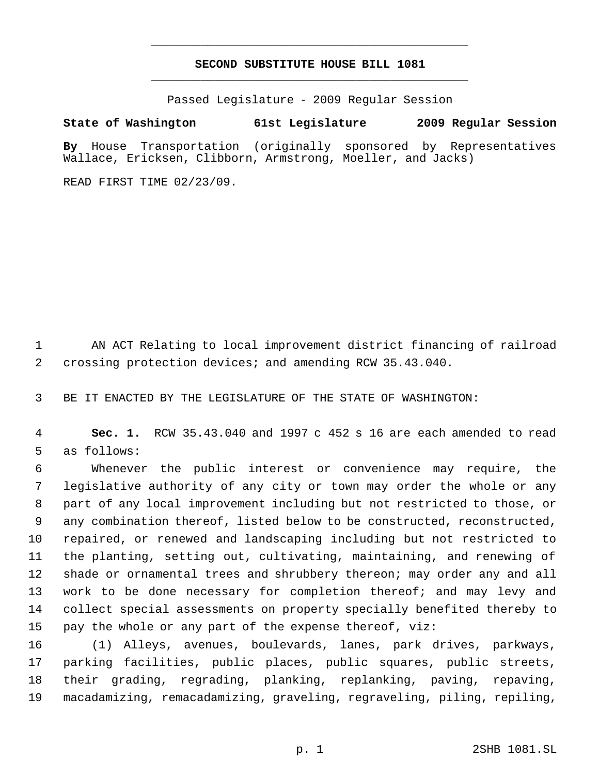# **SECOND SUBSTITUTE HOUSE BILL 1081** \_\_\_\_\_\_\_\_\_\_\_\_\_\_\_\_\_\_\_\_\_\_\_\_\_\_\_\_\_\_\_\_\_\_\_\_\_\_\_\_\_\_\_\_\_

\_\_\_\_\_\_\_\_\_\_\_\_\_\_\_\_\_\_\_\_\_\_\_\_\_\_\_\_\_\_\_\_\_\_\_\_\_\_\_\_\_\_\_\_\_

Passed Legislature - 2009 Regular Session

## **State of Washington 61st Legislature 2009 Regular Session**

**By** House Transportation (originally sponsored by Representatives Wallace, Ericksen, Clibborn, Armstrong, Moeller, and Jacks)

READ FIRST TIME 02/23/09.

 AN ACT Relating to local improvement district financing of railroad crossing protection devices; and amending RCW 35.43.040.

BE IT ENACTED BY THE LEGISLATURE OF THE STATE OF WASHINGTON:

 **Sec. 1.** RCW 35.43.040 and 1997 c 452 s 16 are each amended to read as follows:

 Whenever the public interest or convenience may require, the legislative authority of any city or town may order the whole or any part of any local improvement including but not restricted to those, or any combination thereof, listed below to be constructed, reconstructed, repaired, or renewed and landscaping including but not restricted to the planting, setting out, cultivating, maintaining, and renewing of shade or ornamental trees and shrubbery thereon; may order any and all 13 work to be done necessary for completion thereof; and may levy and collect special assessments on property specially benefited thereby to pay the whole or any part of the expense thereof, viz:

 (1) Alleys, avenues, boulevards, lanes, park drives, parkways, parking facilities, public places, public squares, public streets, their grading, regrading, planking, replanking, paving, repaving, macadamizing, remacadamizing, graveling, regraveling, piling, repiling,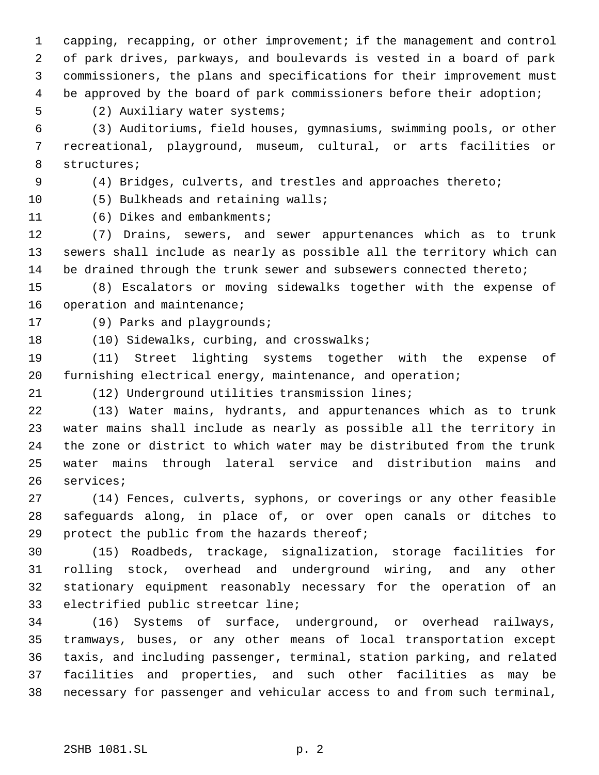capping, recapping, or other improvement; if the management and control of park drives, parkways, and boulevards is vested in a board of park commissioners, the plans and specifications for their improvement must be approved by the board of park commissioners before their adoption;

(2) Auxiliary water systems;

 (3) Auditoriums, field houses, gymnasiums, swimming pools, or other recreational, playground, museum, cultural, or arts facilities or structures;

(4) Bridges, culverts, and trestles and approaches thereto;

(5) Bulkheads and retaining walls;

(6) Dikes and embankments;

 (7) Drains, sewers, and sewer appurtenances which as to trunk sewers shall include as nearly as possible all the territory which can be drained through the trunk sewer and subsewers connected thereto;

 (8) Escalators or moving sidewalks together with the expense of 16 operation and maintenance;

(9) Parks and playgrounds;

18 (10) Sidewalks, curbing, and crosswalks;

 (11) Street lighting systems together with the expense of furnishing electrical energy, maintenance, and operation;

(12) Underground utilities transmission lines;

 (13) Water mains, hydrants, and appurtenances which as to trunk water mains shall include as nearly as possible all the territory in the zone or district to which water may be distributed from the trunk water mains through lateral service and distribution mains and services;

 (14) Fences, culverts, syphons, or coverings or any other feasible safeguards along, in place of, or over open canals or ditches to protect the public from the hazards thereof;

 (15) Roadbeds, trackage, signalization, storage facilities for rolling stock, overhead and underground wiring, and any other stationary equipment reasonably necessary for the operation of an electrified public streetcar line;

 (16) Systems of surface, underground, or overhead railways, tramways, buses, or any other means of local transportation except taxis, and including passenger, terminal, station parking, and related facilities and properties, and such other facilities as may be necessary for passenger and vehicular access to and from such terminal,